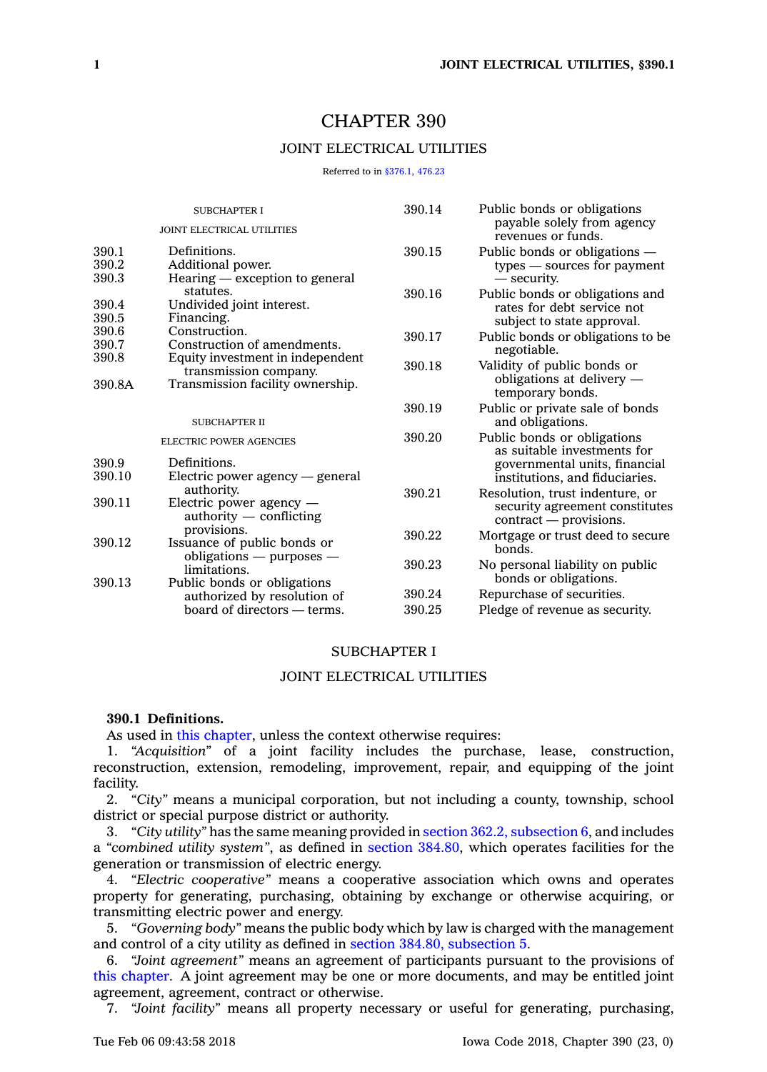# CHAPTER 390

# JOINT ELECTRICAL UTILITIES

Referred to in [§376.1](https://www.legis.iowa.gov/docs/code/376.1.pdf), [476.23](https://www.legis.iowa.gov/docs/code/476.23.pdf)

| <b>SUBCHAPTER I</b><br><b>JOINT ELECTRICAL UTILITIES</b> |                                         | 390.14                      | Public bonds or obligations<br>payable solely from agency<br>revenues or funds. |
|----------------------------------------------------------|-----------------------------------------|-----------------------------|---------------------------------------------------------------------------------|
|                                                          |                                         |                             |                                                                                 |
| 390.2                                                    | Additional power.                       | types — sources for payment |                                                                                 |
| 390.3                                                    | Hearing — exception to general          |                             | — security.                                                                     |
|                                                          | statutes.                               | 390.16                      | Public bonds or obligations and                                                 |
| 390.4                                                    | Undivided joint interest.               |                             | rates for debt service not<br>subject to state approval.                        |
| 390.5                                                    | Financing.                              |                             |                                                                                 |
| 390.6                                                    | Construction.                           | 390.17                      | Public bonds or obligations to be.                                              |
| 390.7                                                    | Construction of amendments.             |                             | negotiable.                                                                     |
| 390.8                                                    | Equity investment in independent        | 390.18                      | Validity of public bonds or                                                     |
| 390.8A                                                   | transmission company.                   |                             | obligations at delivery -                                                       |
|                                                          | Transmission facility ownership.        |                             | temporary bonds.                                                                |
|                                                          |                                         | 390.19                      | Public or private sale of bonds                                                 |
|                                                          | <b>SUBCHAPTER II</b>                    |                             | and obligations.                                                                |
|                                                          | <b>ELECTRIC POWER AGENCIES</b>          | 390.20                      | Public bonds or obligations                                                     |
|                                                          |                                         |                             | as suitable investments for                                                     |
| 390.9                                                    | Definitions.                            |                             | governmental units, financial                                                   |
| 390.10                                                   | Electric power agency $-$ general       |                             | institutions, and fiduciaries.                                                  |
| 390.11                                                   | authority.<br>Electric power agency -   | 390.21                      | Resolution, trust indenture, or                                                 |
|                                                          | $\alpha$ authority $\alpha$ conflicting |                             | security agreement constitutes                                                  |
|                                                          | provisions.                             |                             | contract — provisions.                                                          |
| 390.12                                                   | Issuance of public bonds or             | 390.22                      | Mortgage or trust deed to secure                                                |
|                                                          | obligations $-$ purposes $-$            |                             | honds.                                                                          |
|                                                          | limitations.                            | 390.23                      | No personal liability on public                                                 |
| 390.13                                                   | Public bonds or obligations             |                             | bonds or obligations.                                                           |
|                                                          | authorized by resolution of             | 390.24                      | Repurchase of securities.                                                       |
|                                                          | board of directors — terms.             | 390.25                      | Pledge of revenue as security.                                                  |
|                                                          |                                         |                             |                                                                                 |

#### SUBCHAPTER I

### JOINT ELECTRICAL UTILITIES

# **390.1 Definitions.**

As used in this [chapter](https://www.legis.iowa.gov/docs/code//390.pdf), unless the context otherwise requires:

1. *"Acquisition"* of <sup>a</sup> joint facility includes the purchase, lease, construction, reconstruction, extension, remodeling, improvement, repair, and equipping of the joint facility.

2. *"City"* means <sup>a</sup> municipal corporation, but not including <sup>a</sup> county, township, school district or special purpose district or authority.

3. *"City utility"* has the same meaning provided in section 362.2, [subsection](https://www.legis.iowa.gov/docs/code/362.2.pdf) 6, and includes <sup>a</sup> *"combined utility system"*, as defined in section [384.80](https://www.legis.iowa.gov/docs/code/384.80.pdf), which operates facilities for the generation or transmission of electric energy.

4. *"Electric cooperative"* means <sup>a</sup> cooperative association which owns and operates property for generating, purchasing, obtaining by exchange or otherwise acquiring, or transmitting electric power and energy.

5. *"Governing body"* means the public body which by law is charged with the management and control of <sup>a</sup> city utility as defined in section 384.80, [subsection](https://www.legis.iowa.gov/docs/code/384.80.pdf) 5.

6. *"Joint agreement"* means an agreement of participants pursuant to the provisions of this [chapter](https://www.legis.iowa.gov/docs/code//390.pdf). A joint agreement may be one or more documents, and may be entitled joint agreement, agreement, contract or otherwise.

7. *"Joint facility"* means all property necessary or useful for generating, purchasing,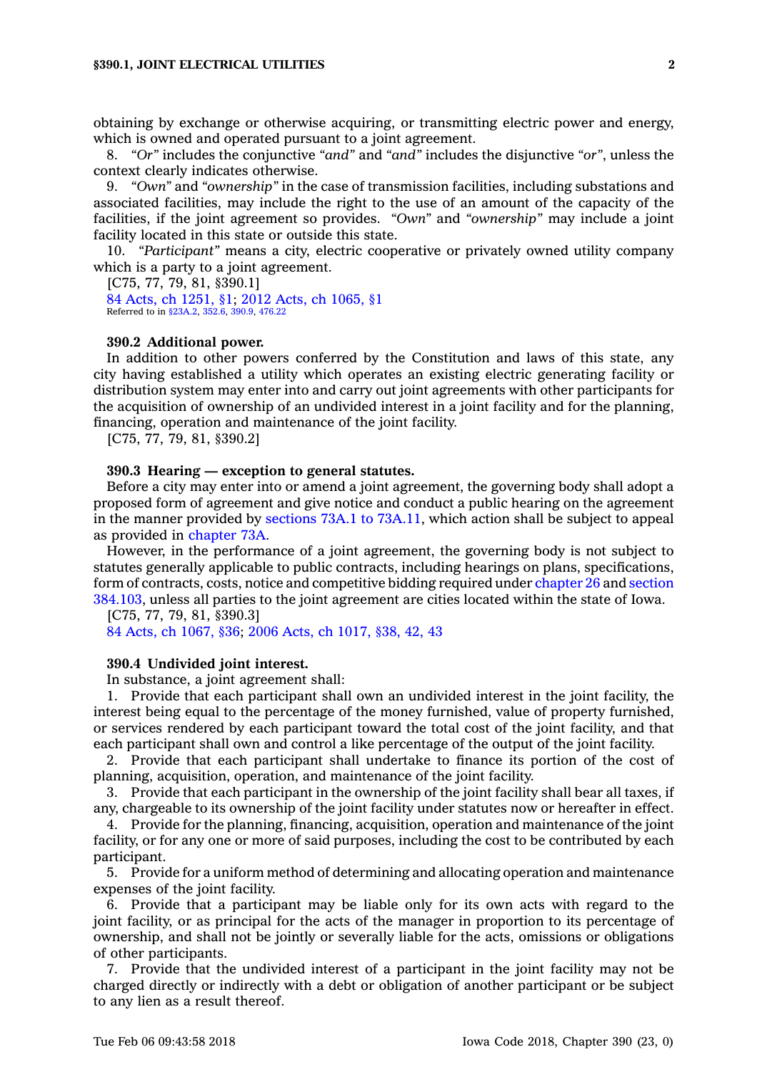obtaining by exchange or otherwise acquiring, or transmitting electric power and energy, which is owned and operated pursuant to <sup>a</sup> joint agreement.

8. *"Or"* includes the conjunctive *"and"* and *"and"* includes the disjunctive *"or"*, unless the context clearly indicates otherwise.

9. *"Own"* and *"ownership"* in the case of transmission facilities, including substations and associated facilities, may include the right to the use of an amount of the capacity of the facilities, if the joint agreement so provides. *"Own"* and *"ownership"* may include <sup>a</sup> joint facility located in this state or outside this state.

10. *"Participant"* means <sup>a</sup> city, electric cooperative or privately owned utility company which is <sup>a</sup> party to <sup>a</sup> joint agreement.

[C75, 77, 79, 81, §390.1] 84 Acts, ch [1251,](https://www.legis.iowa.gov/docs/acts/84/CH1251.pdf) §1; 2012 Acts, ch [1065,](https://www.legis.iowa.gov/docs/acts/2012/CH1065.pdf) §1 Referred to in [§23A.2](https://www.legis.iowa.gov/docs/code/23A.2.pdf), [352.6](https://www.legis.iowa.gov/docs/code/352.6.pdf), [390.9](https://www.legis.iowa.gov/docs/code/390.9.pdf), [476.22](https://www.legis.iowa.gov/docs/code/476.22.pdf)

#### **390.2 Additional power.**

In addition to other powers conferred by the Constitution and laws of this state, any city having established <sup>a</sup> utility which operates an existing electric generating facility or distribution system may enter into and carry out joint agreements with other participants for the acquisition of ownership of an undivided interest in <sup>a</sup> joint facility and for the planning, financing, operation and maintenance of the joint facility.

[C75, 77, 79, 81, §390.2]

#### **390.3 Hearing — exception to general statutes.**

Before <sup>a</sup> city may enter into or amend <sup>a</sup> joint agreement, the governing body shall adopt <sup>a</sup> proposed form of agreement and give notice and conduct <sup>a</sup> public hearing on the agreement in the manner provided by sections 73A.1 to [73A.11](https://www.legis.iowa.gov/docs/code/73A.1.pdf), which action shall be subject to appeal as provided in [chapter](https://www.legis.iowa.gov/docs/code//73A.pdf) 73A.

However, in the performance of <sup>a</sup> joint agreement, the governing body is not subject to statutes generally applicable to public contracts, including hearings on plans, specifications, form of contracts, costs, notice and competitive bidding required under [chapter](https://www.legis.iowa.gov/docs/code//26.pdf) 26 and [section](https://www.legis.iowa.gov/docs/code/384.103.pdf) [384.103](https://www.legis.iowa.gov/docs/code/384.103.pdf), unless all parties to the joint agreement are cities located within the state of Iowa.

[C75, 77, 79, 81, §390.3] 84 Acts, ch [1067,](https://www.legis.iowa.gov/docs/acts/1984/CH1067.pdf) §36; 2006 Acts, ch [1017,](https://www.legis.iowa.gov/docs/acts/2006/CH1017.pdf) §38, 42, 43

#### **390.4 Undivided joint interest.**

In substance, <sup>a</sup> joint agreement shall:

1. Provide that each participant shall own an undivided interest in the joint facility, the interest being equal to the percentage of the money furnished, value of property furnished, or services rendered by each participant toward the total cost of the joint facility, and that each participant shall own and control <sup>a</sup> like percentage of the output of the joint facility.

2. Provide that each participant shall undertake to finance its portion of the cost of planning, acquisition, operation, and maintenance of the joint facility.

3. Provide that each participant in the ownership of the joint facility shall bear all taxes, if any, chargeable to its ownership of the joint facility under statutes now or hereafter in effect.

4. Provide for the planning, financing, acquisition, operation and maintenance of the joint facility, or for any one or more of said purposes, including the cost to be contributed by each participant.

5. Provide for <sup>a</sup> uniform method of determining and allocating operation and maintenance expenses of the joint facility.

6. Provide that <sup>a</sup> participant may be liable only for its own acts with regard to the joint facility, or as principal for the acts of the manager in proportion to its percentage of ownership, and shall not be jointly or severally liable for the acts, omissions or obligations of other participants.

7. Provide that the undivided interest of <sup>a</sup> participant in the joint facility may not be charged directly or indirectly with <sup>a</sup> debt or obligation of another participant or be subject to any lien as <sup>a</sup> result thereof.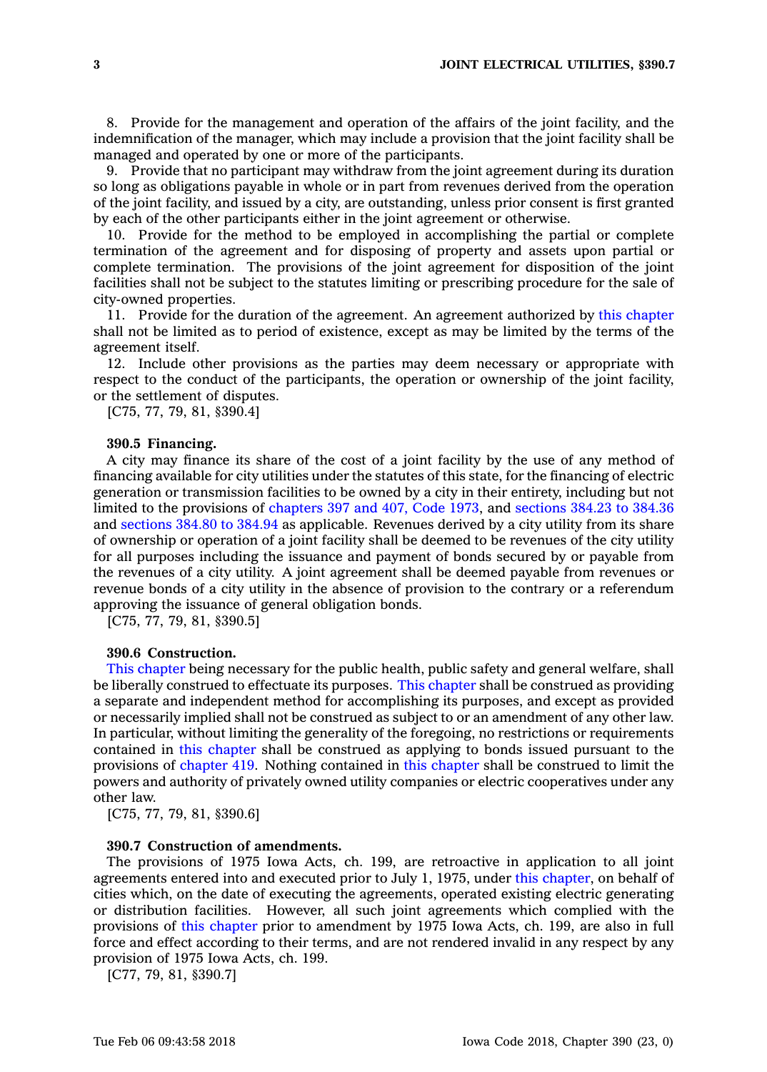8. Provide for the management and operation of the affairs of the joint facility, and the indemnification of the manager, which may include <sup>a</sup> provision that the joint facility shall be managed and operated by one or more of the participants.

9. Provide that no participant may withdraw from the joint agreement during its duration so long as obligations payable in whole or in part from revenues derived from the operation of the joint facility, and issued by <sup>a</sup> city, are outstanding, unless prior consent is first granted by each of the other participants either in the joint agreement or otherwise.

10. Provide for the method to be employed in accomplishing the partial or complete termination of the agreement and for disposing of property and assets upon partial or complete termination. The provisions of the joint agreement for disposition of the joint facilities shall not be subject to the statutes limiting or prescribing procedure for the sale of city-owned properties.

11. Provide for the duration of the agreement. An agreement authorized by this [chapter](https://www.legis.iowa.gov/docs/code//390.pdf) shall not be limited as to period of existence, except as may be limited by the terms of the agreement itself.

12. Include other provisions as the parties may deem necessary or appropriate with respect to the conduct of the participants, the operation or ownership of the joint facility, or the settlement of disputes.

[C75, 77, 79, 81, §390.4]

#### **390.5 Financing.**

A city may finance its share of the cost of <sup>a</sup> joint facility by the use of any method of financing available for city utilities under the statutes of this state, for the financing of electric generation or transmission facilities to be owned by <sup>a</sup> city in their entirety, including but not limited to the provisions of [chapters](https://www.legis.iowa.gov/docs/code/1973/397,407.pdf) 397 and 407, Code 1973, and [sections](https://www.legis.iowa.gov/docs/code/384.23.pdf) 384.23 to 384.36 and [sections](https://www.legis.iowa.gov/docs/code/384.80.pdf) 384.80 to 384.94 as applicable. Revenues derived by <sup>a</sup> city utility from its share of ownership or operation of <sup>a</sup> joint facility shall be deemed to be revenues of the city utility for all purposes including the issuance and payment of bonds secured by or payable from the revenues of <sup>a</sup> city utility. A joint agreement shall be deemed payable from revenues or revenue bonds of <sup>a</sup> city utility in the absence of provision to the contrary or <sup>a</sup> referendum approving the issuance of general obligation bonds.

[C75, 77, 79, 81, §390.5]

# **390.6 Construction.**

This [chapter](https://www.legis.iowa.gov/docs/code//390.pdf) being necessary for the public health, public safety and general welfare, shall be liberally construed to effectuate its purposes. This [chapter](https://www.legis.iowa.gov/docs/code//390.pdf) shall be construed as providing <sup>a</sup> separate and independent method for accomplishing its purposes, and except as provided or necessarily implied shall not be construed as subject to or an amendment of any other law. In particular, without limiting the generality of the foregoing, no restrictions or requirements contained in this [chapter](https://www.legis.iowa.gov/docs/code//390.pdf) shall be construed as applying to bonds issued pursuant to the provisions of [chapter](https://www.legis.iowa.gov/docs/code//419.pdf) 419. Nothing contained in this [chapter](https://www.legis.iowa.gov/docs/code//390.pdf) shall be construed to limit the powers and authority of privately owned utility companies or electric cooperatives under any other law.

[C75, 77, 79, 81, §390.6]

# **390.7 Construction of amendments.**

The provisions of 1975 Iowa Acts, ch. 199, are retroactive in application to all joint agreements entered into and executed prior to July 1, 1975, under this [chapter](https://www.legis.iowa.gov/docs/code//390.pdf), on behalf of cities which, on the date of executing the agreements, operated existing electric generating or distribution facilities. However, all such joint agreements which complied with the provisions of this [chapter](https://www.legis.iowa.gov/docs/code//390.pdf) prior to amendment by 1975 Iowa Acts, ch. 199, are also in full force and effect according to their terms, and are not rendered invalid in any respect by any provision of 1975 Iowa Acts, ch. 199.

[C77, 79, 81, §390.7]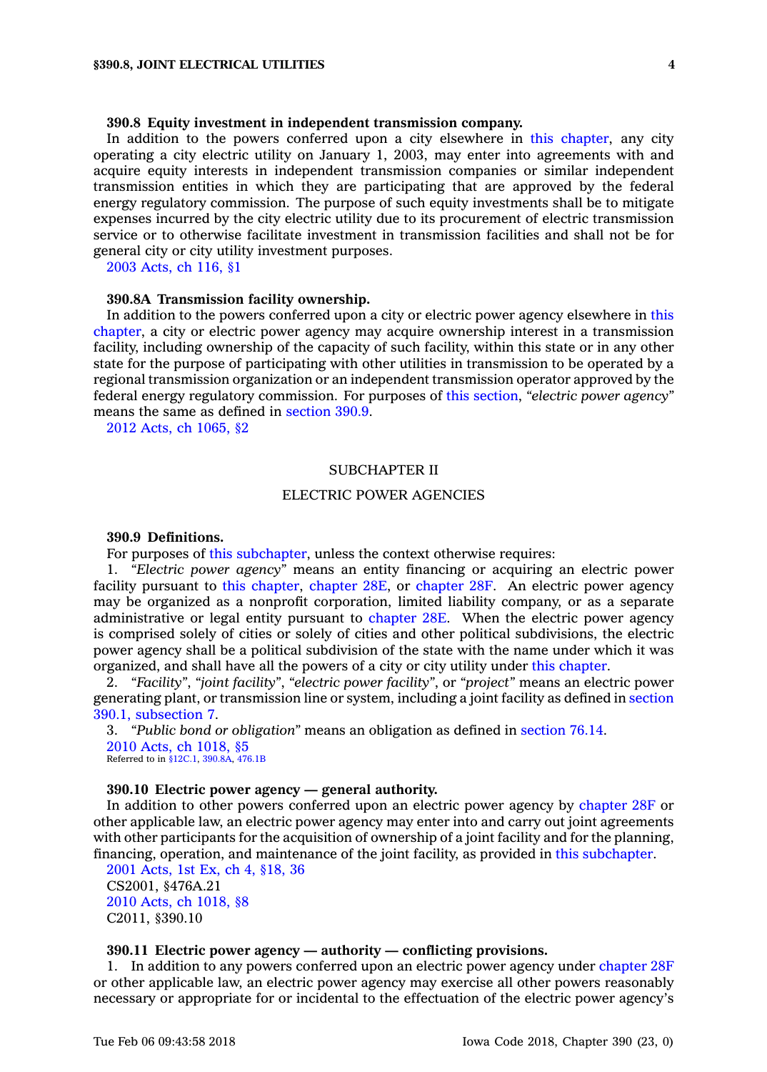# **390.8 Equity investment in independent transmission company.**

In addition to the powers conferred upon <sup>a</sup> city elsewhere in this [chapter](https://www.legis.iowa.gov/docs/code//390.pdf), any city operating <sup>a</sup> city electric utility on January 1, 2003, may enter into agreements with and acquire equity interests in independent transmission companies or similar independent transmission entities in which they are participating that are approved by the federal energy regulatory commission. The purpose of such equity investments shall be to mitigate expenses incurred by the city electric utility due to its procurement of electric transmission service or to otherwise facilitate investment in transmission facilities and shall not be for general city or city utility investment purposes.

2003 [Acts,](https://www.legis.iowa.gov/docs/acts/2003/CH0116.pdf) ch 116, §1

#### **390.8A Transmission facility ownership.**

In addition to the powers conferred upon <sup>a</sup> city or electric power agency elsewhere in [this](https://www.legis.iowa.gov/docs/code//390.pdf) [chapter](https://www.legis.iowa.gov/docs/code//390.pdf), <sup>a</sup> city or electric power agency may acquire ownership interest in <sup>a</sup> transmission facility, including ownership of the capacity of such facility, within this state or in any other state for the purpose of participating with other utilities in transmission to be operated by <sup>a</sup> regional transmission organization or an independent transmission operator approved by the federal energy regulatory commission. For purposes of this [section](https://www.legis.iowa.gov/docs/code/390.8A.pdf), *"electric power agency"* means the same as defined in [section](https://www.legis.iowa.gov/docs/code/390.9.pdf) 390.9.

2012 Acts, ch [1065,](https://www.legis.iowa.gov/docs/acts/2012/CH1065.pdf) §2

## SUBCHAPTER II

#### ELECTRIC POWER AGENCIES

# **390.9 Definitions.**

For purposes of this [subchapter](https://www.legis.iowa.gov/docs/code//390.pdf), unless the context otherwise requires:

1. *"Electric power agency"* means an entity financing or acquiring an electric power facility pursuant to this [chapter](https://www.legis.iowa.gov/docs/code//390.pdf), [chapter](https://www.legis.iowa.gov/docs/code//28E.pdf) 28E, or [chapter](https://www.legis.iowa.gov/docs/code//28F.pdf) 28F. An electric power agency may be organized as <sup>a</sup> nonprofit corporation, limited liability company, or as <sup>a</sup> separate administrative or legal entity pursuant to [chapter](https://www.legis.iowa.gov/docs/code//28E.pdf) 28E. When the electric power agency is comprised solely of cities or solely of cities and other political subdivisions, the electric power agency shall be <sup>a</sup> political subdivision of the state with the name under which it was organized, and shall have all the powers of <sup>a</sup> city or city utility under this [chapter](https://www.legis.iowa.gov/docs/code//390.pdf).

2. *"Facility"*, *"joint facility"*, *"electric power facility"*, or *"project"* means an electric power generating plant, or transmission line or system, including <sup>a</sup> joint facility as defined in [section](https://www.legis.iowa.gov/docs/code/390.1.pdf) 390.1, [subsection](https://www.legis.iowa.gov/docs/code/390.1.pdf) 7.

3. *"Public bond or obligation"* means an obligation as defined in [section](https://www.legis.iowa.gov/docs/code/76.14.pdf) 76.14. 2010 Acts, ch [1018,](https://www.legis.iowa.gov/docs/acts/2010/CH1018.pdf) §5 Referred to in [§12C.1](https://www.legis.iowa.gov/docs/code/12C.1.pdf), [390.8A](https://www.legis.iowa.gov/docs/code/390.8A.pdf), [476.1B](https://www.legis.iowa.gov/docs/code/476.1B.pdf)

# **390.10 Electric power agency — general authority.**

In addition to other powers conferred upon an electric power agency by [chapter](https://www.legis.iowa.gov/docs/code//28F.pdf) 28F or other applicable law, an electric power agency may enter into and carry out joint agreements with other participants for the acquisition of ownership of <sup>a</sup> joint facility and for the planning, financing, operation, and maintenance of the joint facility, as provided in this [subchapter](https://www.legis.iowa.gov/docs/code//390.pdf).

2001 [Acts,](https://www.legis.iowa.gov/docs/acts/2001/CH0004.pdf) 1st Ex, ch 4, §18, 36 CS2001, §476A.21 2010 Acts, ch [1018,](https://www.legis.iowa.gov/docs/acts/2010/CH1018.pdf) §8 C2011, §390.10

# **390.11 Electric power agency — authority — conflicting provisions.**

1. In addition to any powers conferred upon an electric power agency under [chapter](https://www.legis.iowa.gov/docs/code//28F.pdf) 28F or other applicable law, an electric power agency may exercise all other powers reasonably necessary or appropriate for or incidental to the effectuation of the electric power agency's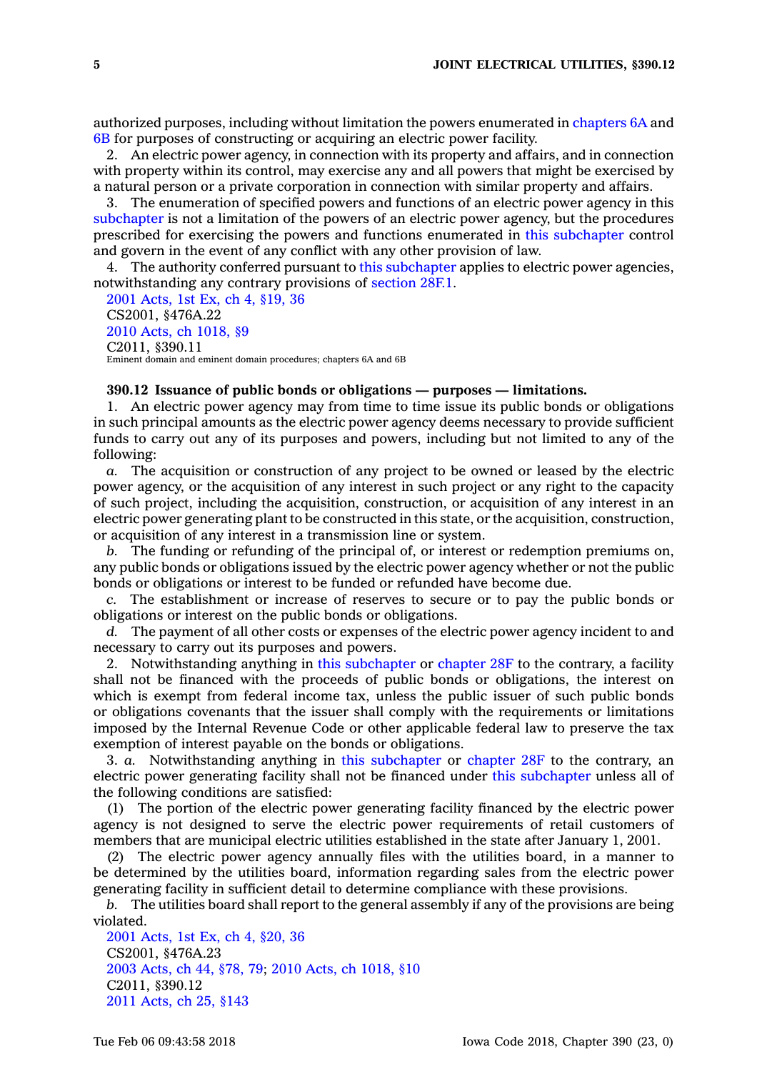authorized purposes, including without limitation the powers enumerated in [chapters](https://www.legis.iowa.gov/docs/code//6A.pdf) 6A and [6B](https://www.legis.iowa.gov/docs/code//6B.pdf) for purposes of constructing or acquiring an electric power facility.

2. An electric power agency, in connection with its property and affairs, and in connection with property within its control, may exercise any and all powers that might be exercised by <sup>a</sup> natural person or <sup>a</sup> private corporation in connection with similar property and affairs.

3. The enumeration of specified powers and functions of an electric power agency in this [subchapter](https://www.legis.iowa.gov/docs/code//390.pdf) is not <sup>a</sup> limitation of the powers of an electric power agency, but the procedures prescribed for exercising the powers and functions enumerated in this [subchapter](https://www.legis.iowa.gov/docs/code//390.pdf) control and govern in the event of any conflict with any other provision of law.

4. The authority conferred pursuant to this [subchapter](https://www.legis.iowa.gov/docs/code//390.pdf) applies to electric power agencies, notwithstanding any contrary provisions of [section](https://www.legis.iowa.gov/docs/code/28F.1.pdf) 28F.1.

2001 [Acts,](https://www.legis.iowa.gov/docs/acts/2001/CH0004.pdf) 1st Ex, ch 4, §19, 36 CS2001, §476A.22 2010 Acts, ch [1018,](https://www.legis.iowa.gov/docs/acts/2010/CH1018.pdf) §9 C2011, §390.11 Eminent domain and eminent domain procedures; chapters 6A and 6B

# **390.12 Issuance of public bonds or obligations — purposes — limitations.**

1. An electric power agency may from time to time issue its public bonds or obligations in such principal amounts as the electric power agency deems necessary to provide sufficient funds to carry out any of its purposes and powers, including but not limited to any of the following:

*a.* The acquisition or construction of any project to be owned or leased by the electric power agency, or the acquisition of any interest in such project or any right to the capacity of such project, including the acquisition, construction, or acquisition of any interest in an electric power generating plant to be constructed in this state, or the acquisition, construction, or acquisition of any interest in <sup>a</sup> transmission line or system.

*b.* The funding or refunding of the principal of, or interest or redemption premiums on, any public bonds or obligations issued by the electric power agency whether or not the public bonds or obligations or interest to be funded or refunded have become due.

*c.* The establishment or increase of reserves to secure or to pay the public bonds or obligations or interest on the public bonds or obligations.

*d.* The payment of all other costs or expenses of the electric power agency incident to and necessary to carry out its purposes and powers.

2. Notwithstanding anything in this [subchapter](https://www.legis.iowa.gov/docs/code//390.pdf) or [chapter](https://www.legis.iowa.gov/docs/code//28F.pdf) 28F to the contrary, <sup>a</sup> facility shall not be financed with the proceeds of public bonds or obligations, the interest on which is exempt from federal income tax, unless the public issuer of such public bonds or obligations covenants that the issuer shall comply with the requirements or limitations imposed by the Internal Revenue Code or other applicable federal law to preserve the tax exemption of interest payable on the bonds or obligations.

3. *a.* Notwithstanding anything in this [subchapter](https://www.legis.iowa.gov/docs/code//390.pdf) or [chapter](https://www.legis.iowa.gov/docs/code//28F.pdf) 28F to the contrary, an electric power generating facility shall not be financed under this [subchapter](https://www.legis.iowa.gov/docs/code//390.pdf) unless all of the following conditions are satisfied:

(1) The portion of the electric power generating facility financed by the electric power agency is not designed to serve the electric power requirements of retail customers of members that are municipal electric utilities established in the state after January 1, 2001.

(2) The electric power agency annually files with the utilities board, in <sup>a</sup> manner to be determined by the utilities board, information regarding sales from the electric power generating facility in sufficient detail to determine compliance with these provisions.

*b.* The utilities board shall report to the general assembly if any of the provisions are being violated.

2001 [Acts,](https://www.legis.iowa.gov/docs/acts//CH0000.pdf) 1st Ex, ch 4, §20, 36 CS2001, §476A.23 2003 [Acts,](https://www.legis.iowa.gov/docs/acts/2003/CH0044.pdf) ch 44, §78, 79; 2010 Acts, ch [1018,](https://www.legis.iowa.gov/docs/acts/2010/CH1018.pdf) §10 C2011, §390.12 2011 [Acts,](https://www.legis.iowa.gov/docs/acts/2011/CH0025.pdf) ch 25, §143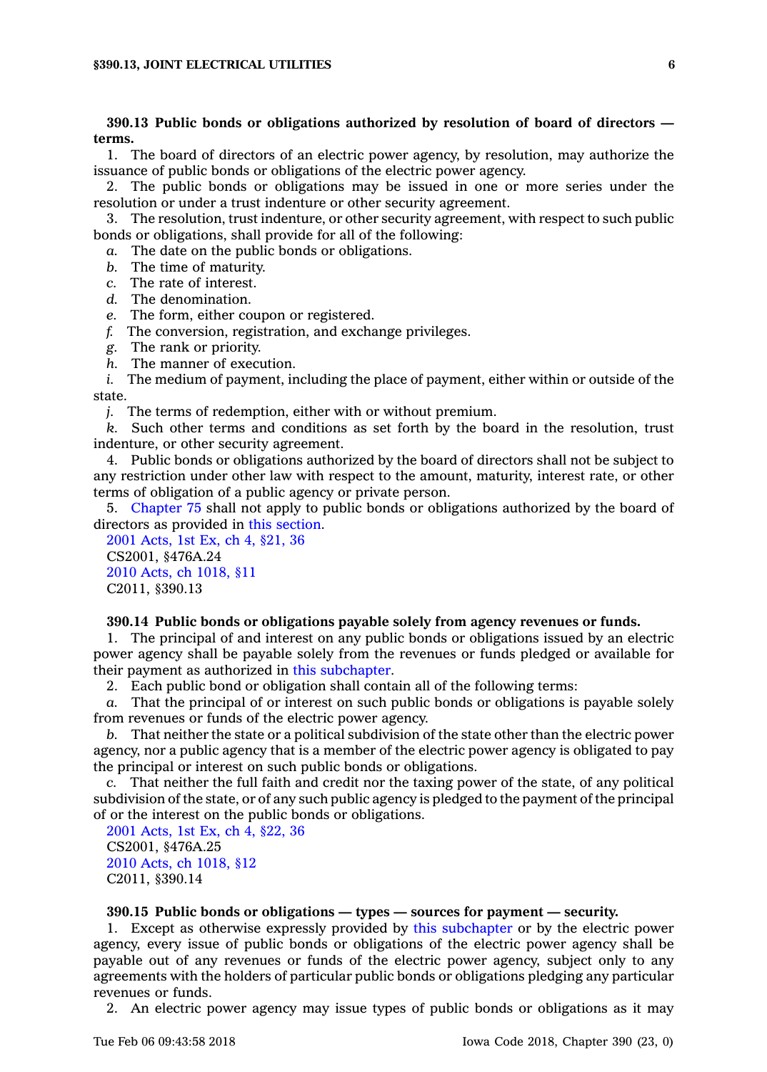# **390.13 Public bonds or obligations authorized by resolution of board of directors terms.**

1. The board of directors of an electric power agency, by resolution, may authorize the issuance of public bonds or obligations of the electric power agency.

2. The public bonds or obligations may be issued in one or more series under the resolution or under <sup>a</sup> trust indenture or other security agreement.

3. The resolution, trust indenture, or other security agreement, with respect to such public bonds or obligations, shall provide for all of the following:

*a.* The date on the public bonds or obligations.

- *b.* The time of maturity.
- *c.* The rate of interest.
- *d.* The denomination.
- *e.* The form, either coupon or registered.
- *f.* The conversion, registration, and exchange privileges.
- *g.* The rank or priority.
- *h.* The manner of execution.

*i.* The medium of payment, including the place of payment, either within or outside of the state.

*j.* The terms of redemption, either with or without premium.

*k.* Such other terms and conditions as set forth by the board in the resolution, trust indenture, or other security agreement.

4. Public bonds or obligations authorized by the board of directors shall not be subject to any restriction under other law with respect to the amount, maturity, interest rate, or other terms of obligation of <sup>a</sup> public agency or private person.

5. [Chapter](https://www.legis.iowa.gov/docs/code//75.pdf) 75 shall not apply to public bonds or obligations authorized by the board of directors as provided in this [section](https://www.legis.iowa.gov/docs/code/390.13.pdf).

2001 [Acts,](https://www.legis.iowa.gov/docs/acts//CH0000.pdf) 1st Ex, ch 4, §21, 36 CS2001, §476A.24 2010 Acts, ch [1018,](https://www.legis.iowa.gov/docs/acts/2010/CH1018.pdf) §11 C2011, §390.13

### **390.14 Public bonds or obligations payable solely from agency revenues or funds.**

1. The principal of and interest on any public bonds or obligations issued by an electric power agency shall be payable solely from the revenues or funds pledged or available for their payment as authorized in this [subchapter](https://www.legis.iowa.gov/docs/code//390.pdf).

2. Each public bond or obligation shall contain all of the following terms:

*a.* That the principal of or interest on such public bonds or obligations is payable solely from revenues or funds of the electric power agency.

*b.* That neither the state or <sup>a</sup> political subdivision of the state other than the electric power agency, nor <sup>a</sup> public agency that is <sup>a</sup> member of the electric power agency is obligated to pay the principal or interest on such public bonds or obligations.

*c.* That neither the full faith and credit nor the taxing power of the state, of any political subdivision of the state, or of any such public agency is pledged to the payment of the principal of or the interest on the public bonds or obligations.

2001 [Acts,](https://www.legis.iowa.gov/docs/acts/2001/CH0004.pdf) 1st Ex, ch 4, §22, 36 CS2001, §476A.25 2010 Acts, ch [1018,](https://www.legis.iowa.gov/docs/acts/2010/CH1018.pdf) §12 C2011, §390.14

# **390.15 Public bonds or obligations — types — sources for payment — security.**

1. Except as otherwise expressly provided by this [subchapter](https://www.legis.iowa.gov/docs/code//390.pdf) or by the electric power agency, every issue of public bonds or obligations of the electric power agency shall be payable out of any revenues or funds of the electric power agency, subject only to any agreements with the holders of particular public bonds or obligations pledging any particular revenues or funds.

2. An electric power agency may issue types of public bonds or obligations as it may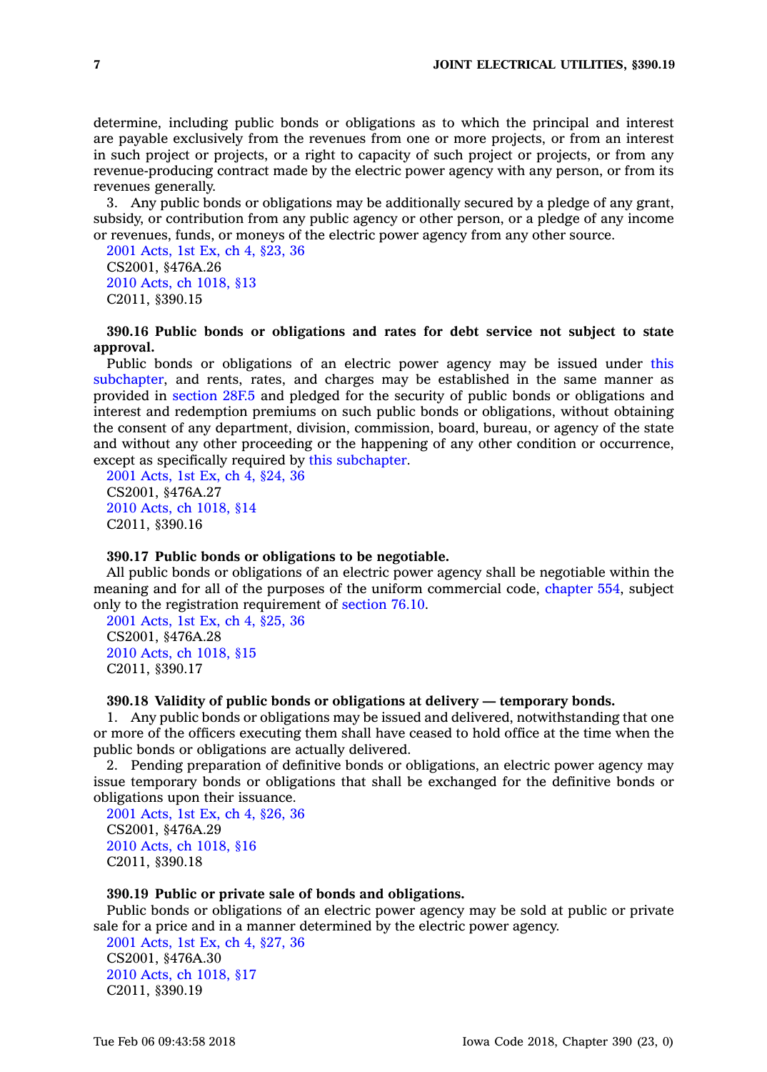determine, including public bonds or obligations as to which the principal and interest are payable exclusively from the revenues from one or more projects, or from an interest in such project or projects, or <sup>a</sup> right to capacity of such project or projects, or from any revenue-producing contract made by the electric power agency with any person, or from its revenues generally.

3. Any public bonds or obligations may be additionally secured by <sup>a</sup> pledge of any grant, subsidy, or contribution from any public agency or other person, or <sup>a</sup> pledge of any income or revenues, funds, or moneys of the electric power agency from any other source.

2001 [Acts,](https://www.legis.iowa.gov/docs/acts/2001/CH0004.pdf) 1st Ex, ch 4, §23, 36 CS2001, §476A.26 2010 Acts, ch [1018,](https://www.legis.iowa.gov/docs/acts/2010/CH1018.pdf) §13 C2011, §390.15

# **390.16 Public bonds or obligations and rates for debt service not subject to state approval.**

Public bonds or obligations of an electric power agency may be issued under [this](https://www.legis.iowa.gov/docs/code//390.pdf) [subchapter](https://www.legis.iowa.gov/docs/code//390.pdf), and rents, rates, and charges may be established in the same manner as provided in [section](https://www.legis.iowa.gov/docs/code/28F.5.pdf) 28F.5 and pledged for the security of public bonds or obligations and interest and redemption premiums on such public bonds or obligations, without obtaining the consent of any department, division, commission, board, bureau, or agency of the state and without any other proceeding or the happening of any other condition or occurrence, except as specifically required by this [subchapter](https://www.legis.iowa.gov/docs/code//390.pdf).

2001 [Acts,](https://www.legis.iowa.gov/docs/acts/2001/CH0004.pdf) 1st Ex, ch 4, §24, 36 CS2001, §476A.27 2010 Acts, ch [1018,](https://www.legis.iowa.gov/docs/acts/2010/CH1018.pdf) §14 C2011, §390.16

#### **390.17 Public bonds or obligations to be negotiable.**

All public bonds or obligations of an electric power agency shall be negotiable within the meaning and for all of the purposes of the uniform commercial code, [chapter](https://www.legis.iowa.gov/docs/code//554.pdf) 554, subject only to the registration requirement of [section](https://www.legis.iowa.gov/docs/code/76.10.pdf) 76.10.

2001 [Acts,](https://www.legis.iowa.gov/docs/acts/2001/CH0004.pdf) 1st Ex, ch 4, §25, 36 CS2001, §476A.28 2010 Acts, ch [1018,](https://www.legis.iowa.gov/docs/acts/2010/CH1018.pdf) §15 C2011, §390.17

# **390.18 Validity of public bonds or obligations at delivery — temporary bonds.**

1. Any public bonds or obligations may be issued and delivered, notwithstanding that one or more of the officers executing them shall have ceased to hold office at the time when the public bonds or obligations are actually delivered.

2. Pending preparation of definitive bonds or obligations, an electric power agency may issue temporary bonds or obligations that shall be exchanged for the definitive bonds or obligations upon their issuance.

2001 [Acts,](https://www.legis.iowa.gov/docs/acts/2001/CH0004.pdf) 1st Ex, ch 4, §26, 36 CS2001, §476A.29 2010 Acts, ch [1018,](https://www.legis.iowa.gov/docs/acts/2010/CH1018.pdf) §16 C2011, §390.18

# **390.19 Public or private sale of bonds and obligations.**

Public bonds or obligations of an electric power agency may be sold at public or private sale for <sup>a</sup> price and in <sup>a</sup> manner determined by the electric power agency.

2001 [Acts,](https://www.legis.iowa.gov/docs/acts//CH0000.pdf) 1st Ex, ch 4, §27, 36 CS2001, §476A.30 2010 Acts, ch [1018,](https://www.legis.iowa.gov/docs/acts/2010/CH1018.pdf) §17 C2011, §390.19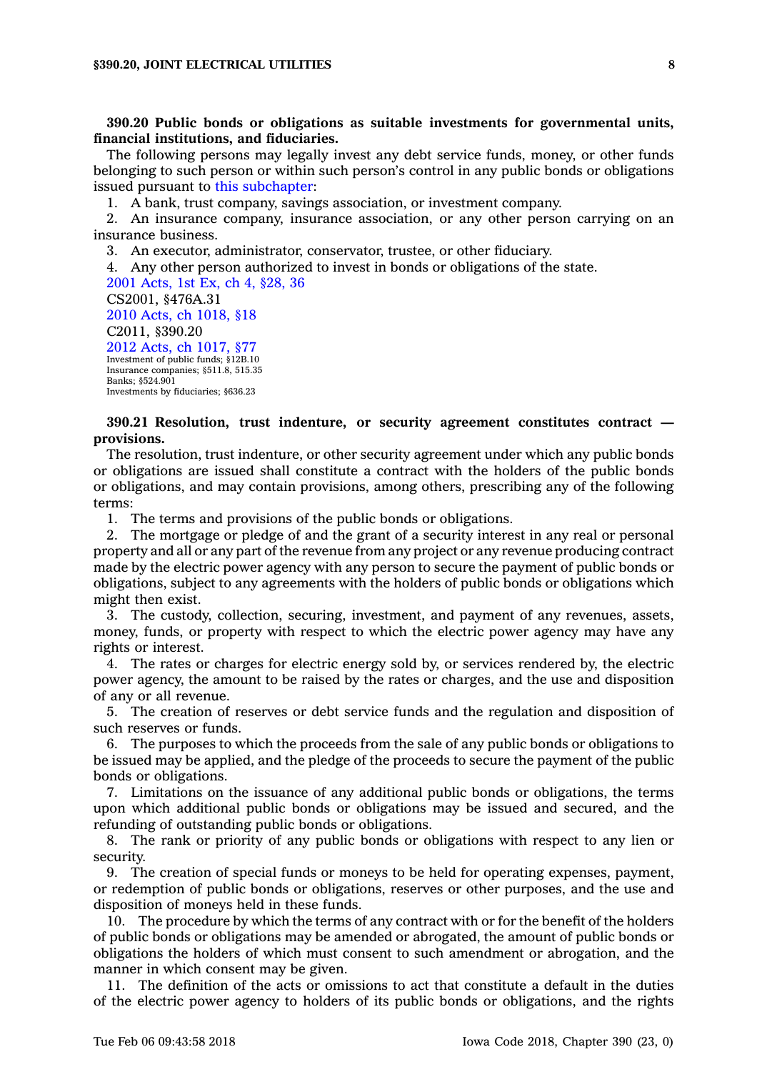**390.20 Public bonds or obligations as suitable investments for governmental units, financial institutions, and fiduciaries.**

The following persons may legally invest any debt service funds, money, or other funds belonging to such person or within such person's control in any public bonds or obligations issued pursuant to this [subchapter](https://www.legis.iowa.gov/docs/code//390.pdf):

1. A bank, trust company, savings association, or investment company.

2. An insurance company, insurance association, or any other person carrying on an insurance business.

3. An executor, administrator, conservator, trustee, or other fiduciary.

4. Any other person authorized to invest in bonds or obligations of the state.

2001 [Acts,](https://www.legis.iowa.gov/docs/acts/2001/CH0004.pdf) 1st Ex, ch 4, §28, 36 CS2001, §476A.31 2010 Acts, ch [1018,](https://www.legis.iowa.gov/docs/acts/2010/CH1018.pdf) §18 C2011, §390.20 2012 Acts, ch [1017,](https://www.legis.iowa.gov/docs/acts/2012/CH1017.pdf) §77 Investment of public funds; §12B.10 Insurance companies; §511.8, 515.35 Banks; §524.901 Investments by fiduciaries; §636.23

# **390.21 Resolution, trust indenture, or security agreement constitutes contract provisions.**

The resolution, trust indenture, or other security agreement under which any public bonds or obligations are issued shall constitute <sup>a</sup> contract with the holders of the public bonds or obligations, and may contain provisions, among others, prescribing any of the following terms:

1. The terms and provisions of the public bonds or obligations.

2. The mortgage or pledge of and the grant of <sup>a</sup> security interest in any real or personal property and all or any part of the revenue from any project or any revenue producing contract made by the electric power agency with any person to secure the payment of public bonds or obligations, subject to any agreements with the holders of public bonds or obligations which might then exist.

3. The custody, collection, securing, investment, and payment of any revenues, assets, money, funds, or property with respect to which the electric power agency may have any rights or interest.

4. The rates or charges for electric energy sold by, or services rendered by, the electric power agency, the amount to be raised by the rates or charges, and the use and disposition of any or all revenue.

5. The creation of reserves or debt service funds and the regulation and disposition of such reserves or funds.

6. The purposes to which the proceeds from the sale of any public bonds or obligations to be issued may be applied, and the pledge of the proceeds to secure the payment of the public bonds or obligations.

7. Limitations on the issuance of any additional public bonds or obligations, the terms upon which additional public bonds or obligations may be issued and secured, and the refunding of outstanding public bonds or obligations.

8. The rank or priority of any public bonds or obligations with respect to any lien or security.

9. The creation of special funds or moneys to be held for operating expenses, payment, or redemption of public bonds or obligations, reserves or other purposes, and the use and disposition of moneys held in these funds.

10. The procedure by which the terms of any contract with or for the benefit of the holders of public bonds or obligations may be amended or abrogated, the amount of public bonds or obligations the holders of which must consent to such amendment or abrogation, and the manner in which consent may be given.

11. The definition of the acts or omissions to act that constitute <sup>a</sup> default in the duties of the electric power agency to holders of its public bonds or obligations, and the rights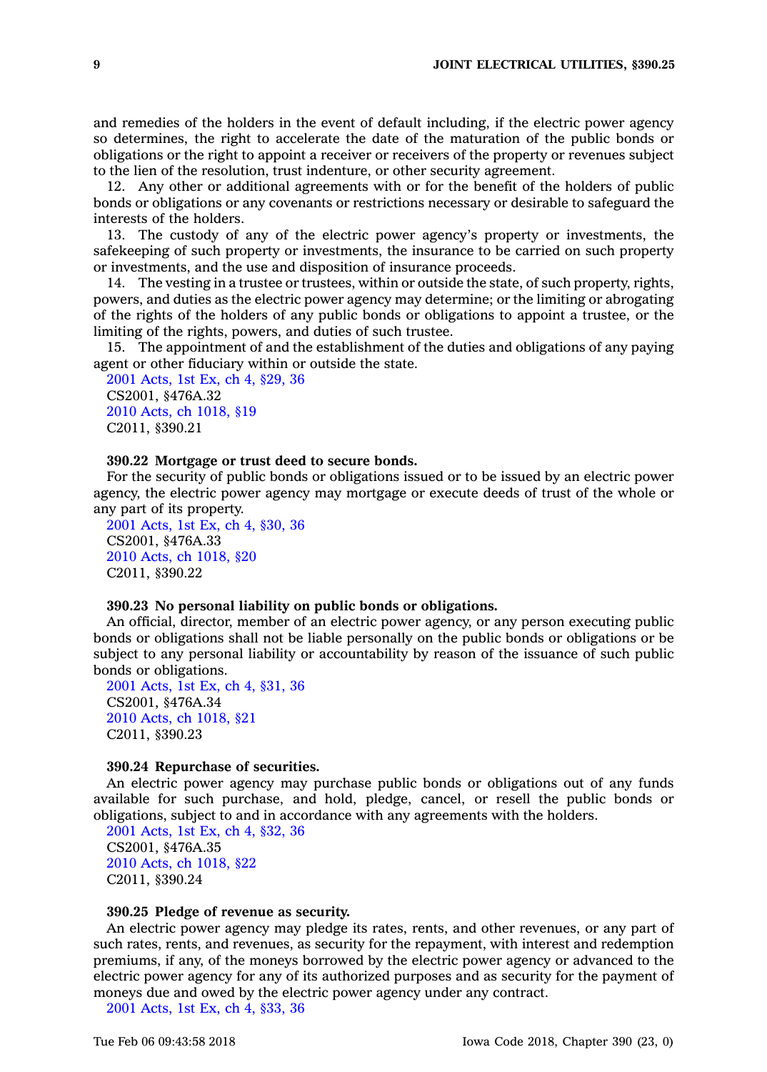and remedies of the holders in the event of default including, if the electric power agency so determines, the right to accelerate the date of the maturation of the public bonds or obligations or the right to appoint <sup>a</sup> receiver or receivers of the property or revenues subject to the lien of the resolution, trust indenture, or other security agreement.

12. Any other or additional agreements with or for the benefit of the holders of public bonds or obligations or any covenants or restrictions necessary or desirable to safeguard the interests of the holders.

13. The custody of any of the electric power agency's property or investments, the safekeeping of such property or investments, the insurance to be carried on such property or investments, and the use and disposition of insurance proceeds.

14. The vesting in <sup>a</sup> trustee or trustees, within or outside the state, of such property, rights, powers, and duties as the electric power agency may determine; or the limiting or abrogating of the rights of the holders of any public bonds or obligations to appoint <sup>a</sup> trustee, or the limiting of the rights, powers, and duties of such trustee.

15. The appointment of and the establishment of the duties and obligations of any paying agent or other fiduciary within or outside the state.

2001 [Acts,](https://www.legis.iowa.gov/docs/acts//CH0000.pdf) 1st Ex, ch 4, §29, 36 CS2001, §476A.32 2010 Acts, ch [1018,](https://www.legis.iowa.gov/docs/acts/2010/CH1018.pdf) §19 C2011, §390.21

### **390.22 Mortgage or trust deed to secure bonds.**

For the security of public bonds or obligations issued or to be issued by an electric power agency, the electric power agency may mortgage or execute deeds of trust of the whole or any part of its property.

2001 [Acts,](https://www.legis.iowa.gov/docs/acts//CH0000.pdf) 1st Ex, ch 4, §30, 36 CS2001, §476A.33 2010 Acts, ch [1018,](https://www.legis.iowa.gov/docs/acts/2010/CH1018.pdf) §20 C2011, §390.22

# **390.23 No personal liability on public bonds or obligations.**

An official, director, member of an electric power agency, or any person executing public bonds or obligations shall not be liable personally on the public bonds or obligations or be subject to any personal liability or accountability by reason of the issuance of such public bonds or obligations.

2001 [Acts,](https://www.legis.iowa.gov/docs/acts//CH0000.pdf) 1st Ex, ch 4, §31, 36 CS2001, §476A.34 2010 Acts, ch [1018,](https://www.legis.iowa.gov/docs/acts/2010/CH1018.pdf) §21 C2011, §390.23

### **390.24 Repurchase of securities.**

An electric power agency may purchase public bonds or obligations out of any funds available for such purchase, and hold, pledge, cancel, or resell the public bonds or obligations, subject to and in accordance with any agreements with the holders.

2001 [Acts,](https://www.legis.iowa.gov/docs/acts//CH0000.pdf) 1st Ex, ch 4, §32, 36 CS2001, §476A.35 2010 Acts, ch [1018,](https://www.legis.iowa.gov/docs/acts/2010/CH1018.pdf) §22 C2011, §390.24

# **390.25 Pledge of revenue as security.**

An electric power agency may pledge its rates, rents, and other revenues, or any part of such rates, rents, and revenues, as security for the repayment, with interest and redemption premiums, if any, of the moneys borrowed by the electric power agency or advanced to the electric power agency for any of its authorized purposes and as security for the payment of moneys due and owed by the electric power agency under any contract.

2001 [Acts,](https://www.legis.iowa.gov/docs/acts//CH0000.pdf) 1st Ex, ch 4, §33, 36